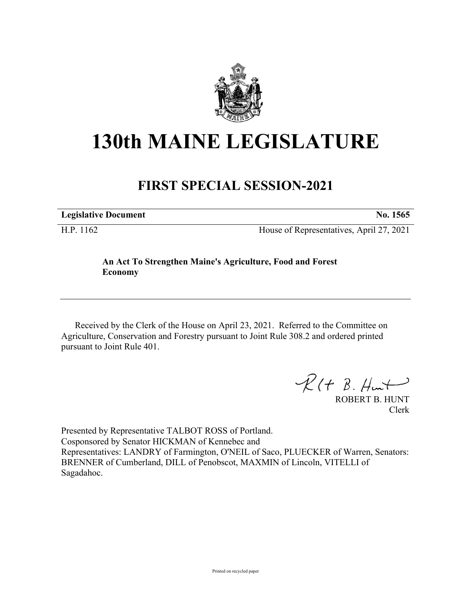

## **130th MAINE LEGISLATURE**

## **FIRST SPECIAL SESSION-2021**

**Legislative Document No. 1565** H.P. 1162 House of Representatives, April 27, 2021

## **An Act To Strengthen Maine's Agriculture, Food and Forest Economy**

Received by the Clerk of the House on April 23, 2021. Referred to the Committee on Agriculture, Conservation and Forestry pursuant to Joint Rule 308.2 and ordered printed pursuant to Joint Rule 401.

 $R(H B. Hmt)$ 

ROBERT B. HUNT Clerk

Presented by Representative TALBOT ROSS of Portland. Cosponsored by Senator HICKMAN of Kennebec and Representatives: LANDRY of Farmington, O'NEIL of Saco, PLUECKER of Warren, Senators: BRENNER of Cumberland, DILL of Penobscot, MAXMIN of Lincoln, VITELLI of Sagadahoc.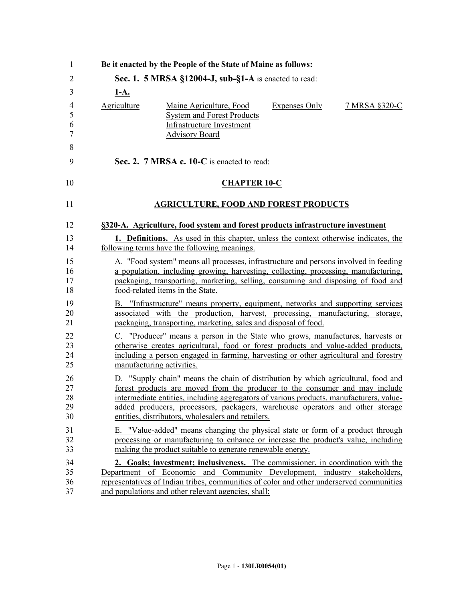| 1        |             | Be it enacted by the People of the State of Maine as follows:                                                                                               |                      |               |
|----------|-------------|-------------------------------------------------------------------------------------------------------------------------------------------------------------|----------------------|---------------|
| 2        |             | Sec. 1. 5 MRSA §12004-J, sub-§1-A is enacted to read:                                                                                                       |                      |               |
| 3        | <u>1-A.</u> |                                                                                                                                                             |                      |               |
| 4<br>5   | Agriculture | Maine Agriculture, Food<br><b>System and Forest Products</b>                                                                                                | <b>Expenses Only</b> | 7 MRSA §320-C |
| 6<br>7   |             | Infrastructure Investment<br><b>Advisory Board</b>                                                                                                          |                      |               |
| 8<br>9   |             | Sec. 2. 7 MRSA c. 10-C is enacted to read:                                                                                                                  |                      |               |
| 10       |             | <b>CHAPTER 10-C</b>                                                                                                                                         |                      |               |
| 11       |             | <b>AGRICULTURE, FOOD AND FOREST PRODUCTS</b>                                                                                                                |                      |               |
| 12       |             | §320-A. Agriculture, food system and forest products infrastructure investment                                                                              |                      |               |
| 13       |             | 1. Definitions. As used in this chapter, unless the context otherwise indicates, the                                                                        |                      |               |
| 14       |             | following terms have the following meanings.                                                                                                                |                      |               |
| 15       |             | A. "Food system" means all processes, infrastructure and persons involved in feeding                                                                        |                      |               |
| 16       |             | a population, including growing, harvesting, collecting, processing, manufacturing,                                                                         |                      |               |
| 17<br>18 |             | packaging, transporting, marketing, selling, consuming and disposing of food and<br>food-related items in the State.                                        |                      |               |
| 19       |             | B. "Infrastructure" means property, equipment, networks and supporting services                                                                             |                      |               |
| 20       |             | associated with the production, harvest, processing, manufacturing,                                                                                         |                      | storage,      |
| 21       |             | packaging, transporting, marketing, sales and disposal of food.                                                                                             |                      |               |
| 22       |             | C. "Producer" means a person in the State who grows, manufactures, harvests or                                                                              |                      |               |
| 23       |             | otherwise creates agricultural, food or forest products and value-added products,                                                                           |                      |               |
| 24<br>25 |             | including a person engaged in farming, harvesting or other agricultural and forestry<br>manufacturing activities.                                           |                      |               |
| 26       |             | D. "Supply chain" means the chain of distribution by which agricultural, food and                                                                           |                      |               |
| 27       |             | forest products are moved from the producer to the consumer and may include                                                                                 |                      |               |
| 28       |             | intermediate entities, including aggregators of various products, manufacturers, value-                                                                     |                      |               |
| 29<br>30 |             | added producers, processors, packagers, warehouse operators and other storage<br>entities, distributors, wholesalers and retailers.                         |                      |               |
|          |             |                                                                                                                                                             |                      |               |
| 31       |             | E. "Value-added" means changing the physical state or form of a product through                                                                             |                      |               |
| 32<br>33 |             | processing or manufacturing to enhance or increase the product's value, including<br>making the product suitable to generate renewable energy.              |                      |               |
|          |             |                                                                                                                                                             |                      |               |
| 34<br>35 |             | 2. Goals; investment; inclusiveness. The commissioner, in coordination with the<br>Department of Economic and Community Development, industry stakeholders, |                      |               |
| 36       |             | representatives of Indian tribes, communities of color and other underserved communities                                                                    |                      |               |
| 37       |             | and populations and other relevant agencies, shall:                                                                                                         |                      |               |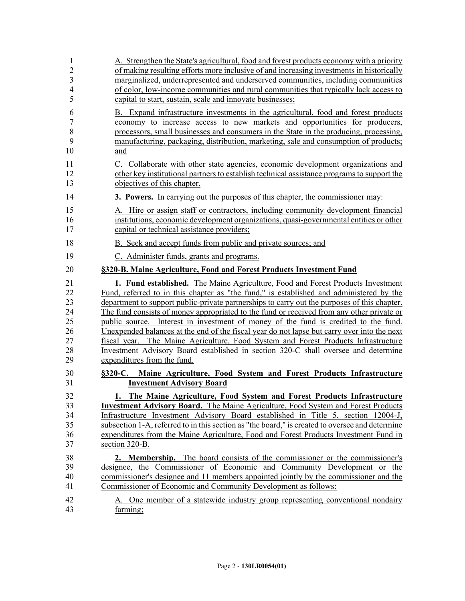| 1              | A. Strengthen the State's agricultural, food and forest products economy with a priority        |
|----------------|-------------------------------------------------------------------------------------------------|
| $\overline{2}$ | of making resulting efforts more inclusive of and increasing investments in historically        |
| 3              | marginalized, underrepresented and underserved communities, including communities               |
| 4              | of color, low-income communities and rural communities that typically lack access to            |
| 5              | capital to start, sustain, scale and innovate businesses;                                       |
| 6              | B. Expand infrastructure investments in the agricultural, food and forest products              |
| $\sqrt{ }$     | economy to increase access to new markets and opportunities for producers,                      |
| 8              | processors, small businesses and consumers in the State in the producing, processing,           |
| 9              | manufacturing, packaging, distribution, marketing, sale and consumption of products;            |
| 10             | and                                                                                             |
| 11             | C. Collaborate with other state agencies, economic development organizations and                |
| 12             | other key institutional partners to establish technical assistance programs to support the      |
| 13             | objectives of this chapter.                                                                     |
| 14             | <b>3. Powers.</b> In carrying out the purposes of this chapter, the commissioner may:           |
| 15             | A. Hire or assign staff or contractors, including community development financial               |
| 16             | institutions, economic development organizations, quasi-governmental entities or other          |
| 17             | capital or technical assistance providers;                                                      |
| 18             | B. Seek and accept funds from public and private sources; and                                   |
| 19             | C. Administer funds, grants and programs.                                                       |
| 20             | §320-B. Maine Agriculture, Food and Forest Products Investment Fund                             |
| 21             | <b>1. Fund established.</b> The Maine Agriculture, Food and Forest Products Investment          |
| 22             | Fund, referred to in this chapter as "the fund," is established and administered by the         |
| 23             | department to support public-private partnerships to carry out the purposes of this chapter.    |
| 24             | The fund consists of money appropriated to the fund or received from any other private or       |
| 25             | public source. Interest in investment of money of the fund is credited to the fund.             |
| 26             | Unexpended balances at the end of the fiscal year do not lapse but carry over into the next     |
| 27             | fiscal year. The Maine Agriculture, Food System and Forest Products Infrastructure              |
| 28             | Investment Advisory Board established in section 320-C shall oversee and determine              |
| 29             | expenditures from the fund.                                                                     |
| 30             | §320-C. Maine Agriculture, Food System and Forest Products Infrastructure                       |
| 31             | <b>Investment Advisory Board</b>                                                                |
| 32             | 1. The Maine Agriculture, Food System and Forest Products Infrastructure                        |
| 33             | <b>Investment Advisory Board.</b> The Maine Agriculture, Food System and Forest Products        |
| 34             | Infrastructure Investment Advisory Board established in Title 5, section 12004-J,               |
| 35             | subsection 1-A, referred to in this section as "the board," is created to oversee and determine |
| 36             | expenditures from the Maine Agriculture, Food and Forest Products Investment Fund in            |
| 37             | section 320-B.                                                                                  |
| 38             | <b>2. Membership.</b> The board consists of the commissioner or the commissioner's              |
| 39             | designee, the Commissioner of Economic and Community Development or the                         |
| 40             | commissioner's designee and 11 members appointed jointly by the commissioner and the            |
| 41             | Commissioner of Economic and Community Development as follows:                                  |
| 42             | A. One member of a statewide industry group representing conventional nondairy                  |
| 43             | farming;                                                                                        |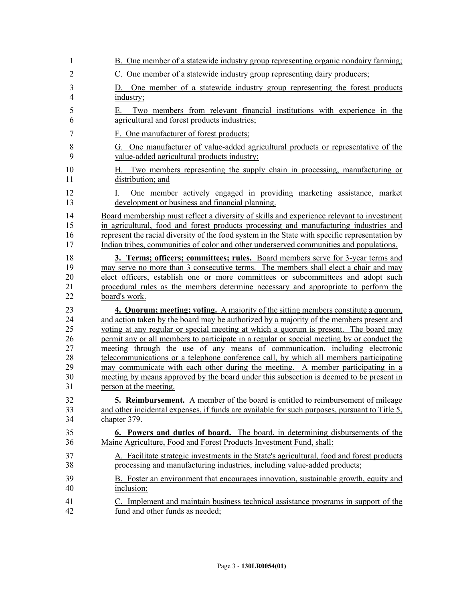| 1                   | B. One member of a statewide industry group representing organic nondairy farming;                                                  |
|---------------------|-------------------------------------------------------------------------------------------------------------------------------------|
| $\overline{2}$      | C. One member of a statewide industry group representing dairy producers;                                                           |
| 3<br>$\overline{4}$ | One member of a statewide industry group representing the forest products<br>D.<br>industry;                                        |
| 5<br>6              | Two members from relevant financial institutions with experience in the<br>Е.<br>agricultural and forest products industries;       |
| 7                   | F. One manufacturer of forest products;                                                                                             |
| 8<br>9              | One manufacturer of value-added agricultural products or representative of the<br>G.<br>value-added agricultural products industry; |
| 10<br>11            | Two members representing the supply chain in processing, manufacturing or<br>H. .<br>distribution; and                              |
| 12                  | One member actively engaged in providing marketing assistance, market                                                               |
| 13                  | development or business and financial planning.                                                                                     |
| 14                  | Board membership must reflect a diversity of skills and experience relevant to investment                                           |
| 15                  | in agricultural, food and forest products processing and manufacturing industries and                                               |
| 16                  | represent the racial diversity of the food system in the State with specific representation by                                      |
| 17                  | Indian tribes, communities of color and other underserved communities and populations.                                              |
| 18                  | <b>3. Terms; officers; committees; rules.</b> Board members serve for 3-year terms and                                              |
| 19                  | may serve no more than 3 consecutive terms. The members shall elect a chair and may                                                 |
| 20                  | elect officers, establish one or more committees or subcommittees and adopt such                                                    |
| 21                  | procedural rules as the members determine necessary and appropriate to perform the                                                  |
| 22                  | board's work.                                                                                                                       |
| 23                  | 4. Quorum; meeting; voting. A majority of the sitting members constitute a quorum,                                                  |
| 24                  | and action taken by the board may be authorized by a majority of the members present and                                            |
| 25                  | voting at any regular or special meeting at which a quorum is present. The board may                                                |
| 26                  | permit any or all members to participate in a regular or special meeting by or conduct the                                          |
| 27                  | meeting through the use of any means of communication, including electronic                                                         |
| 28                  | telecommunications or a telephone conference call, by which all members participating                                               |
| 29                  | may communicate with each other during the meeting. A member participating in a                                                     |
| 30                  | meeting by means approved by the board under this subsection is deemed to be present in                                             |
| 31                  | person at the meeting.                                                                                                              |
| 32                  | 5. Reimbursement. A member of the board is entitled to reimbursement of mileage                                                     |
| 33                  | and other incidental expenses, if funds are available for such purposes, pursuant to Title 5,                                       |
| 34                  | chapter 379.                                                                                                                        |
| 35                  | 6. Powers and duties of board. The board, in determining disbursements of the                                                       |
| 36                  | Maine Agriculture, Food and Forest Products Investment Fund, shall:                                                                 |
| 37                  | A. Facilitate strategic investments in the State's agricultural, food and forest products                                           |
| 38                  | processing and manufacturing industries, including value-added products;                                                            |
| 39                  | B. Foster an environment that encourages innovation, sustainable growth, equity and                                                 |
| 40                  | inclusion;                                                                                                                          |
| 41                  | C. Implement and maintain business technical assistance programs in support of the                                                  |
| 42                  | fund and other funds as needed;                                                                                                     |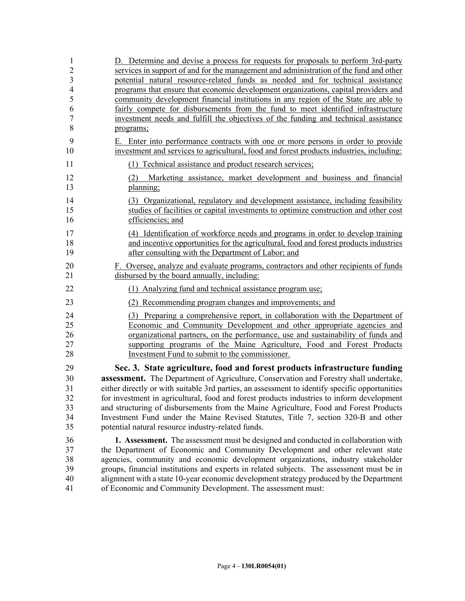| $\mathbf{1}$   | D. Determine and devise a process for requests for proposals to perform 3rd-party              |
|----------------|------------------------------------------------------------------------------------------------|
| $\overline{2}$ | services in support of and for the management and administration of the fund and other         |
| $\overline{3}$ | potential natural resource-related funds as needed and for technical assistance                |
| $\overline{4}$ | programs that ensure that economic development organizations, capital providers and            |
| 5              | community development financial institutions in any region of the State are able to            |
| 6              | fairly compete for disbursements from the fund to meet identified infrastructure               |
| $\sqrt{ }$     | investment needs and fulfill the objectives of the funding and technical assistance            |
| 8              | programs;                                                                                      |
| 9              | E. Enter into performance contracts with one or more persons in order to provide               |
| 10             | investment and services to agricultural, food and forest products industries, including:       |
| 11             | (1) Technical assistance and product research services;                                        |
| 12<br>13       | Marketing assistance, market development and business and financial<br>(2)<br>planning;        |
| 14             | (3) Organizational, regulatory and development assistance, including feasibility               |
| 15             | studies of facilities or capital investments to optimize construction and other cost           |
| 16             | efficiencies; and                                                                              |
| 17             | (4) Identification of workforce needs and programs in order to develop training                |
| 18             | and incentive opportunities for the agricultural, food and forest products industries          |
| 19             | after consulting with the Department of Labor; and                                             |
| 20             | F. Oversee, analyze and evaluate programs, contractors and other recipients of funds           |
| 21             | disbursed by the board annually, including:                                                    |
| 22             | (1) Analyzing fund and technical assistance program use;                                       |
| 23             | (2) Recommending program changes and improvements; and                                         |
| 24             | (3) Preparing a comprehensive report, in collaboration with the Department of                  |
| 25             | Economic and Community Development and other appropriate agencies and                          |
| 26             | organizational partners, on the performance, use and sustainability of funds and               |
| 27             | supporting programs of the Maine Agriculture, Food and Forest Products                         |
| 28             | Investment Fund to submit to the commissioner.                                                 |
| 29             | Sec. 3. State agriculture, food and forest products infrastructure funding                     |
| 30             | <b>assessment.</b> The Department of Agriculture, Conservation and Forestry shall undertake,   |
| 31             | either directly or with suitable 3rd parties, an assessment to identify specific opportunities |
| 32             | for investment in agricultural, food and forest products industries to inform development      |
| 33             | and structuring of disbursements from the Maine Agriculture, Food and Forest Products          |
| 34             | Investment Fund under the Maine Revised Statutes, Title 7, section 320-B and other             |
| 35             | potential natural resource industry-related funds.                                             |
| 36             | 1. Assessment. The assessment must be designed and conducted in collaboration with             |
| 37             | the Department of Economic and Community Development and other relevant state                  |
| 38             | agencies, community and economic development organizations, industry stakeholder               |
| 39             | groups, financial institutions and experts in related subjects. The assessment must be in      |
| 40             | alignment with a state 10-year economic development strategy produced by the Department        |
| 41             | of Economic and Community Development. The assessment must:                                    |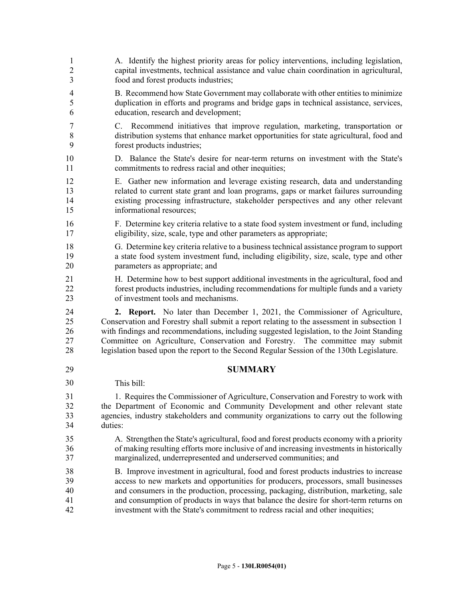1 A. Identify the highest priority areas for policy interventions, including legislation, 2 capital investments, technical assistance and value chain coordination in agricultural, 3 food and forest products industries; 4 B. Recommend how State Government may collaborate with other entities to minimize 5 duplication in efforts and programs and bridge gaps in technical assistance, services, 6 education, research and development; 7 C. Recommend initiatives that improve regulation, marketing, transportation or 8 distribution systems that enhance market opportunities for state agricultural, food and 9 forest products industries; 10 D. Balance the State's desire for near-term returns on investment with the State's 11 commitments to redress racial and other inequities; 12 E. Gather new information and leverage existing research, data and understanding 13 related to current state grant and loan programs, gaps or market failures surrounding 14 existing processing infrastructure, stakeholder perspectives and any other relevant 15 informational resources; 16 F. Determine key criteria relative to a state food system investment or fund, including 17 eligibility, size, scale, type and other parameters as appropriate; 18 G. Determine key criteria relative to a business technical assistance program to support 19 a state food system investment fund, including eligibility, size, scale, type and other 20 parameters as appropriate; and 21 H. Determine how to best support additional investments in the agricultural, food and 22 forest products industries, including recommendations for multiple funds and a variety 23 of investment tools and mechanisms. 24 **2. Report.** No later than December 1, 2021, the Commissioner of Agriculture, 25 Conservation and Forestry shall submit a report relating to the assessment in subsection 1 26 with findings and recommendations, including suggested legislation, to the Joint Standing 27 Committee on Agriculture, Conservation and Forestry. The committee may submit 28 legislation based upon the report to the Second Regular Session of the 130th Legislature. 29 **SUMMARY** This bill: 31 1. Requires the Commissioner of Agriculture, Conservation and Forestry to work with 32 the Department of Economic and Community Development and other relevant state 33 agencies, industry stakeholders and community organizations to carry out the following 34 duties: 35 A. Strengthen the State's agricultural, food and forest products economy with a priority 36 of making resulting efforts more inclusive of and increasing investments in historically 37 marginalized, underrepresented and underserved communities; and 38 B. Improve investment in agricultural, food and forest products industries to increase 39 access to new markets and opportunities for producers, processors, small businesses 40 and consumers in the production, processing, packaging, distribution, marketing, sale 41 and consumption of products in ways that balance the desire for short-term returns on 42 investment with the State's commitment to redress racial and other inequities; 30